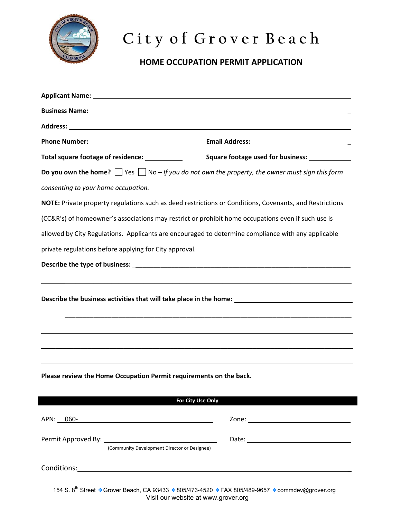

## **C i t y o f G r o v e r B e a c h**

## **HOME OCCUPATION PERMIT APPLICATION**

| Total square footage of residence: ___________                                                                   | Square footage used for business: _____________ |
|------------------------------------------------------------------------------------------------------------------|-------------------------------------------------|
| <b>Do you own the home?</b> $\Box$ Yes $\Box$ No – If you do not own the property, the owner must sign this form |                                                 |
| consenting to your home occupation.                                                                              |                                                 |
| NOTE: Private property regulations such as deed restrictions or Conditions, Covenants, and Restrictions          |                                                 |
| (CC&R's) of homeowner's associations may restrict or prohibit home occupations even if such use is               |                                                 |
| allowed by City Regulations. Applicants are encouraged to determine compliance with any applicable               |                                                 |
| private regulations before applying for City approval.                                                           |                                                 |
|                                                                                                                  |                                                 |
|                                                                                                                  |                                                 |
| Please review the Home Occupation Permit requirements on the back.<br>For City Use Only                          |                                                 |
|                                                                                                                  |                                                 |
| (Community Development Director or Designee)                                                                     |                                                 |

154 S. 8<sup>th</sup> Street • Grover Beach, CA 93433 • 805/473-4520 • FAX 805/489-9657 • commdev@grover.org Visit our website at www.grover.org